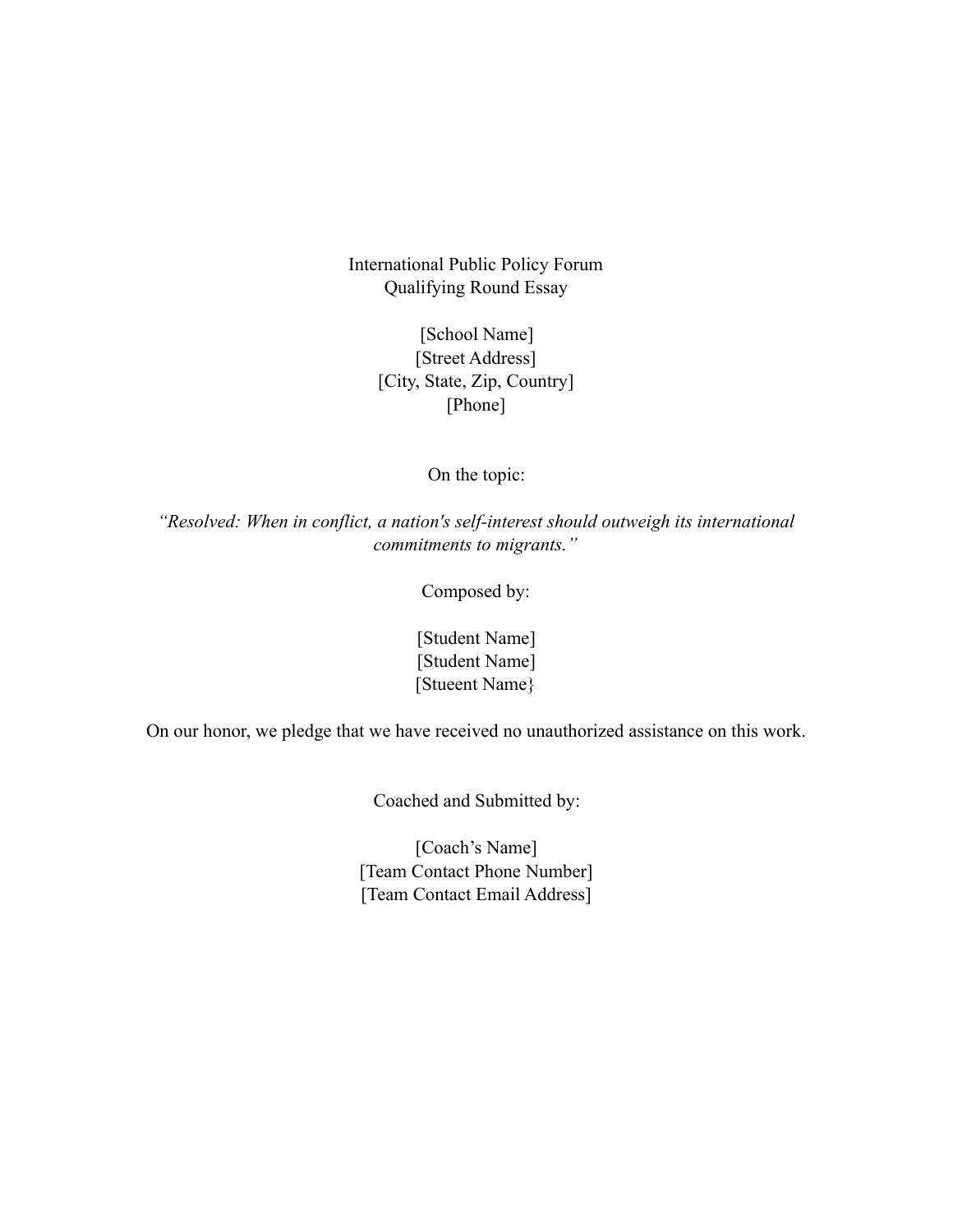International Public Policy Forum Qualifying Round Essay

> [School Name] [Street Address] [City, State, Zip, Country] [Phone]

> > On the topic:

*"Resolved: When in conflict, a nation's self-interest should outweigh its international commitments to migrants."*

Composed by:

[Student Name] [Student Name] [Stueent Name}

On our honor, we pledge that we have received no unauthorized assistance on this work.

Coached and Submitted by:

[Coach's Name] [Team Contact Phone Number] [Team Contact Email Address]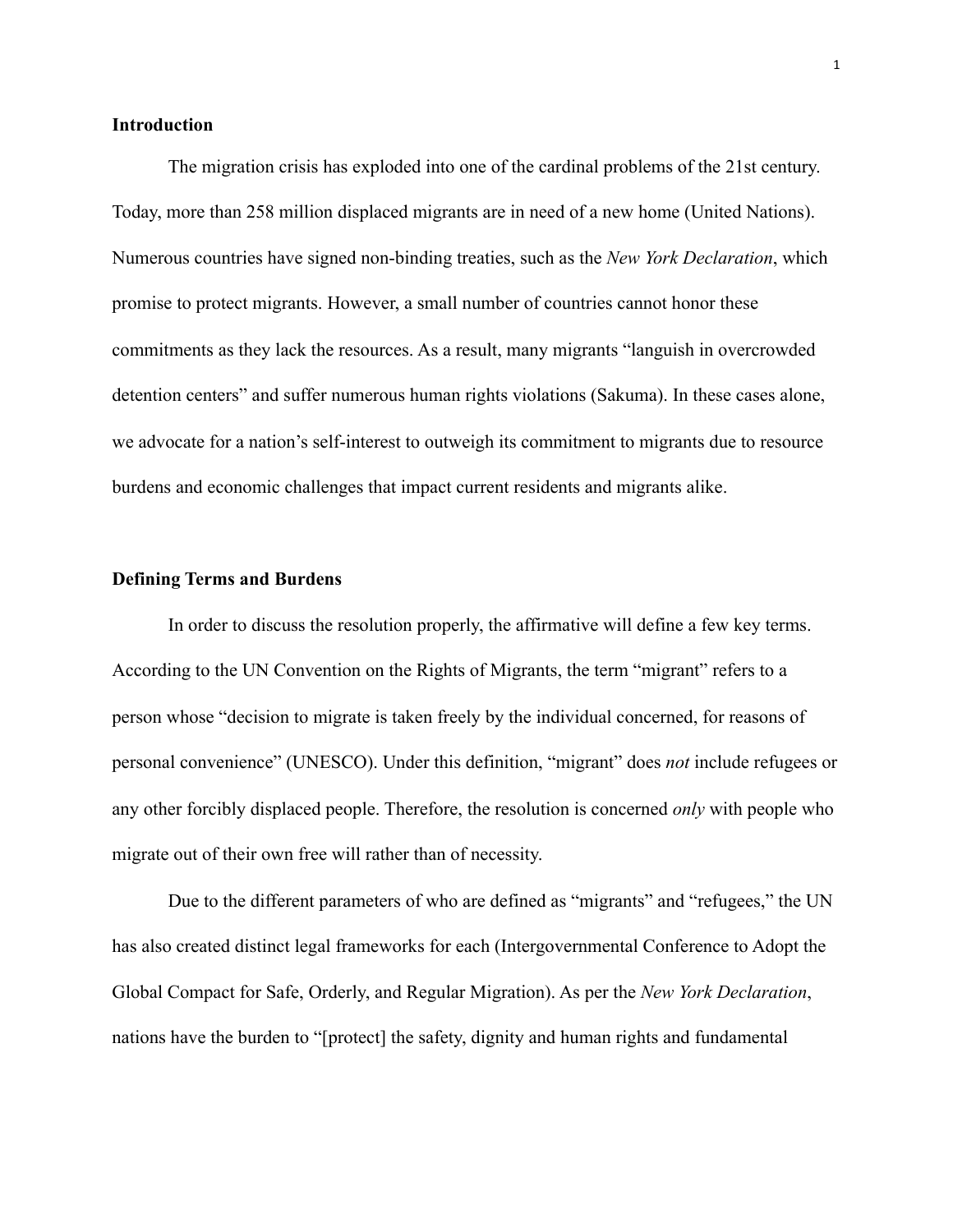# **Introduction**

The migration crisis has exploded into one of the cardinal problems of the 21st century. Today, more than 258 million displaced migrants are in need of a new home (United Nations). Numerous countries have signed non-binding treaties, such as the *New York Declaration*, which promise to protect migrants. However, a small number of countries cannot honor these commitments as they lack the resources. As a result, many migrants "languish in overcrowded detention centers" and suffer numerous human rights violations (Sakuma). In these cases alone, we advocate for a nation's self-interest to outweigh its commitment to migrants due to resource burdens and economic challenges that impact current residents and migrants alike.

#### **Defining Terms and Burdens**

In order to discuss the resolution properly, the affirmative will define a few key terms. According to the UN Convention on the Rights of Migrants, the term "migrant" refers to a person whose "decision to migrate is taken freely by the individual concerned, for reasons of personal convenience" (UNESCO). Under this definition, "migrant" does *not* include refugees or any other forcibly displaced people. Therefore, the resolution is concerned *only* with people who migrate out of their own free will rather than of necessity.

Due to the different parameters of who are defined as "migrants" and "refugees," the UN has also created distinct legal frameworks for each (Intergovernmental Conference to Adopt the Global Compact for Safe, Orderly, and Regular Migration). As per the *New York Declaration*, nations have the burden to "[protect] the safety, dignity and human rights and fundamental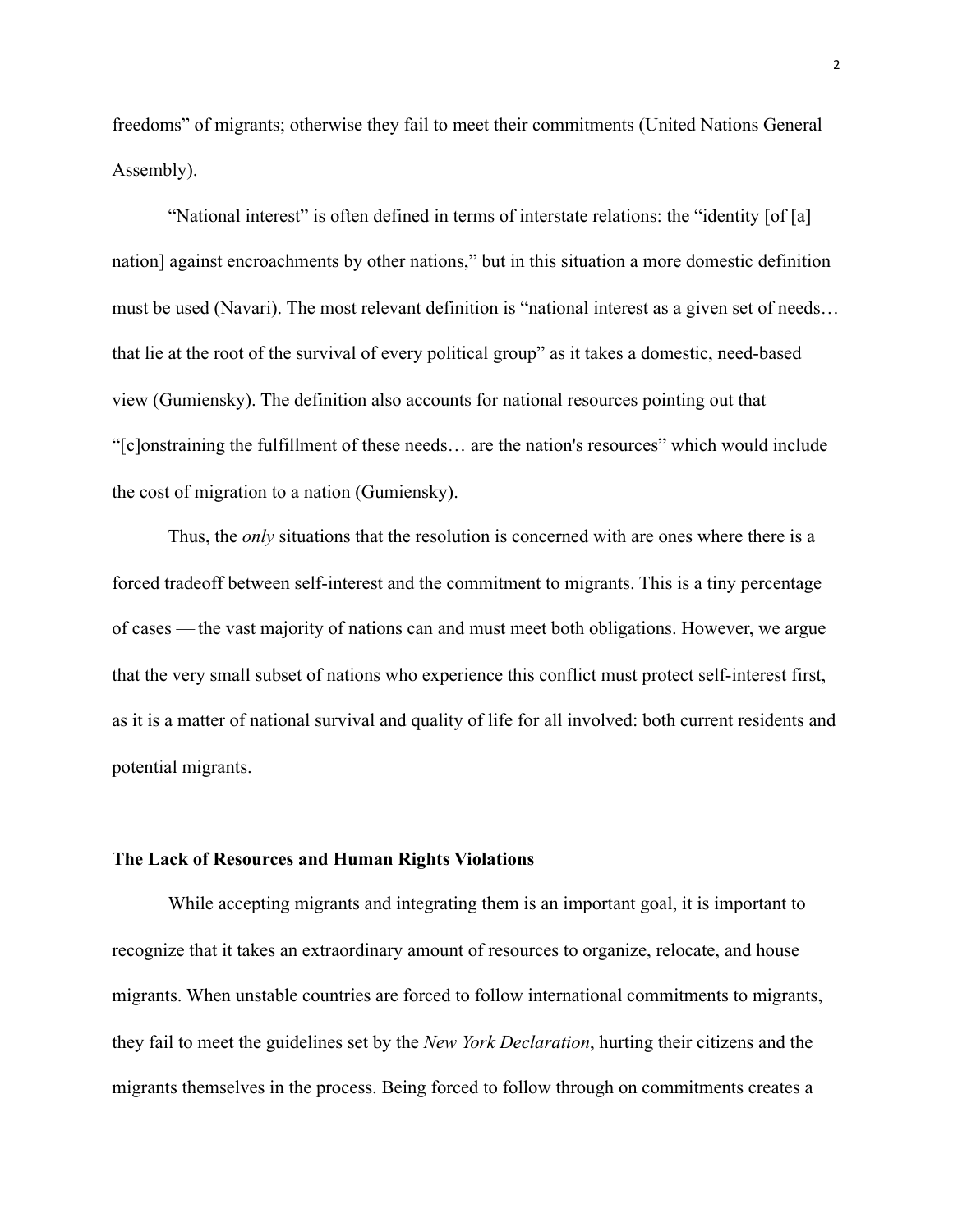freedoms" of migrants; otherwise they fail to meet their commitments (United Nations General Assembly).

"National interest" is often defined in terms of interstate relations: the "identity [of [a] nation] against encroachments by other nations," but in this situation a more domestic definition must be used (Navari). The most relevant definition is "national interest as a given set of needs… that lie at the root of the survival of every political group" as it takes a domestic, need-based view (Gumiensky). The definition also accounts for national resources pointing out that "[c]onstraining the fulfillment of these needs… are the nation's resources" which would include the cost of migration to a nation (Gumiensky).

Thus, the *only* situations that the resolution is concerned with are ones where there is a forced tradeoff between self-interest and the commitment to migrants. This is a tiny percentage of cases — the vast majority of nations can and must meet both obligations. However, we argue that the very small subset of nations who experience this conflict must protect self-interest first, as it is a matter of national survival and quality of life for all involved: both current residents and potential migrants.

## **The Lack of Resources and Human Rights Violations**

While accepting migrants and integrating them is an important goal, it is important to recognize that it takes an extraordinary amount of resources to organize, relocate, and house migrants. When unstable countries are forced to follow international commitments to migrants, they fail to meet the guidelines set by the *New York Declaration*, hurting their citizens and the migrants themselves in the process. Being forced to follow through on commitments creates a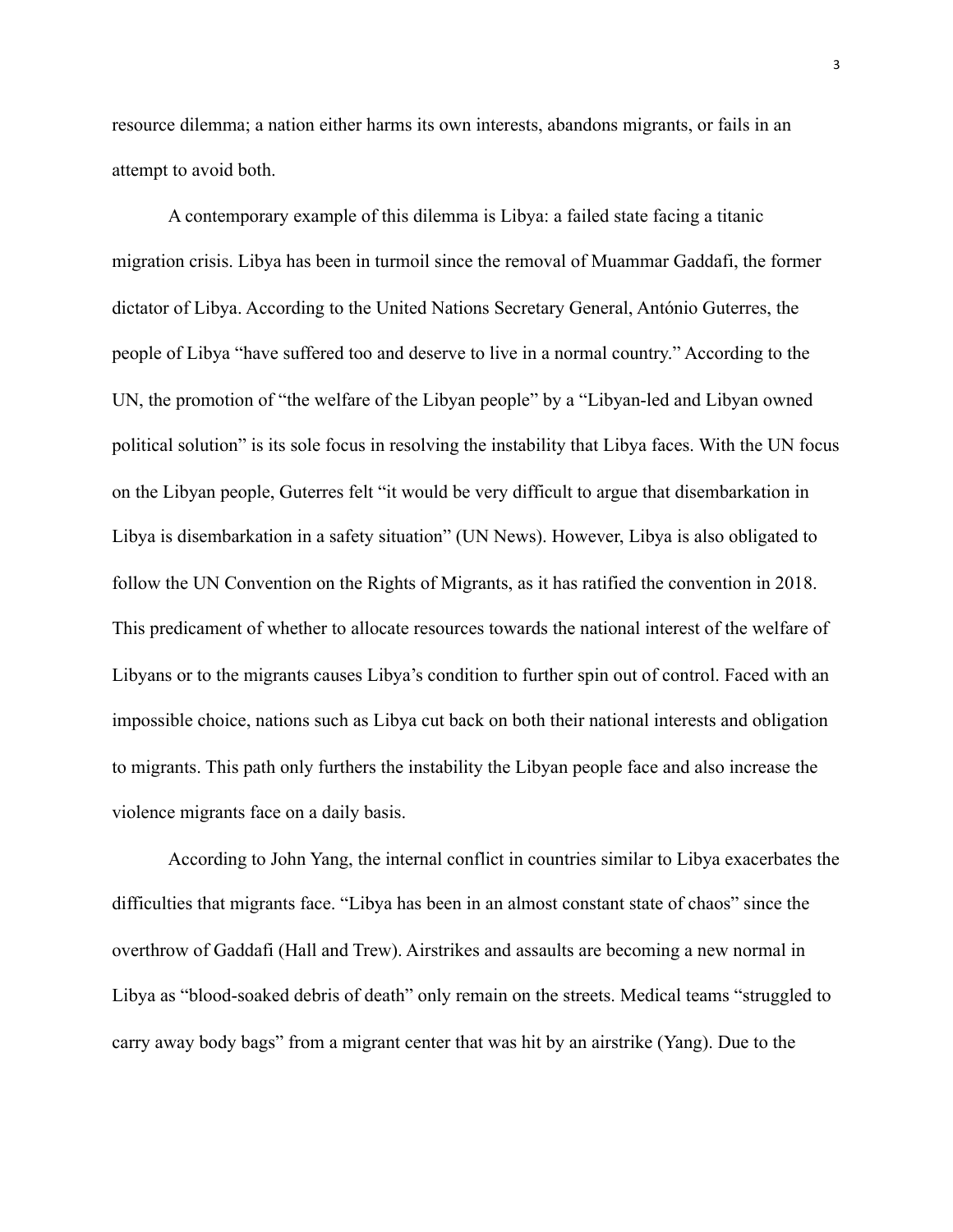resource dilemma; a nation either harms its own interests, abandons migrants, or fails in an attempt to avoid both.

A contemporary example of this dilemma is Libya: a failed state facing a titanic migration crisis. Libya has been in turmoil since the removal of Muammar Gaddafi, the former dictator of Libya. According to the United Nations Secretary General, António Guterres, the people of Libya "have suffered too and deserve to live in a normal country." According to the UN, the promotion of "the welfare of the Libyan people" by a "Libyan-led and Libyan owned political solution" is its sole focus in resolving the instability that Libya faces. With the UN focus on the Libyan people, Guterres felt "it would be very difficult to argue that disembarkation in Libya is disembarkation in a safety situation" (UN News). However, Libya is also obligated to follow the UN Convention on the Rights of Migrants, as it has ratified the convention in 2018. This predicament of whether to allocate resources towards the national interest of the welfare of Libyans or to the migrants causes Libya's condition to further spin out of control. Faced with an impossible choice, nations such as Libya cut back on both their national interests and obligation to migrants. This path only furthers the instability the Libyan people face and also increase the violence migrants face on a daily basis.

According to John Yang, the internal conflict in countries similar to Libya exacerbates the difficulties that migrants face. "Libya has been in an almost constant state of chaos" since the overthrow of Gaddafi (Hall and Trew). Airstrikes and assaults are becoming a new normal in Libya as "blood-soaked debris of death" only remain on the streets. Medical teams "struggled to carry away body bags" from a migrant center that was hit by an airstrike (Yang). Due to the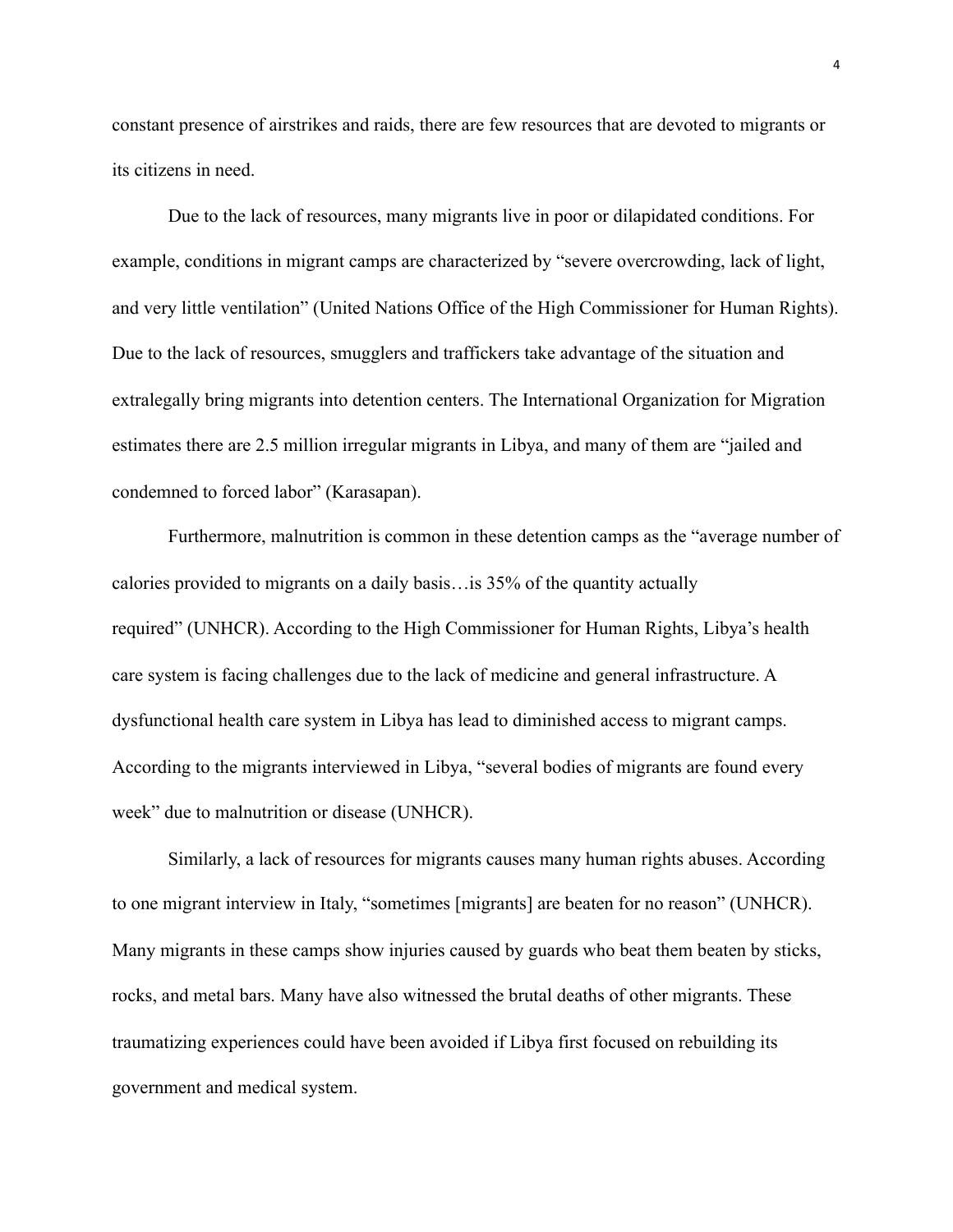constant presence of airstrikes and raids, there are few resources that are devoted to migrants or its citizens in need.

Due to the lack of resources, many migrants live in poor or dilapidated conditions. For example, conditions in migrant camps are characterized by "severe overcrowding, lack of light, and very little ventilation" (United Nations Office of the High Commissioner for Human Rights). Due to the lack of resources, smugglers and traffickers take advantage of the situation and extralegally bring migrants into detention centers. The International Organization for Migration estimates there are 2.5 million irregular migrants in Libya, and many of them are "jailed and condemned to forced labor" (Karasapan).

Furthermore, malnutrition is common in these detention camps as the "average number of calories provided to migrants on a daily basis…is 35% of the quantity actually required" (UNHCR). According to the High Commissioner for Human Rights, Libya's health care system is facing challenges due to the lack of medicine and general infrastructure. A dysfunctional health care system in Libya has lead to diminished access to migrant camps. According to the migrants interviewed in Libya, "several bodies of migrants are found every week" due to malnutrition or disease (UNHCR).

Similarly, a lack of resources for migrants causes many human rights abuses. According to one migrant interview in Italy, "sometimes [migrants] are beaten for no reason" (UNHCR). Many migrants in these camps show injuries caused by guards who beat them beaten by sticks, rocks, and metal bars. Many have also witnessed the brutal deaths of other migrants. These traumatizing experiences could have been avoided if Libya first focused on rebuilding its government and medical system.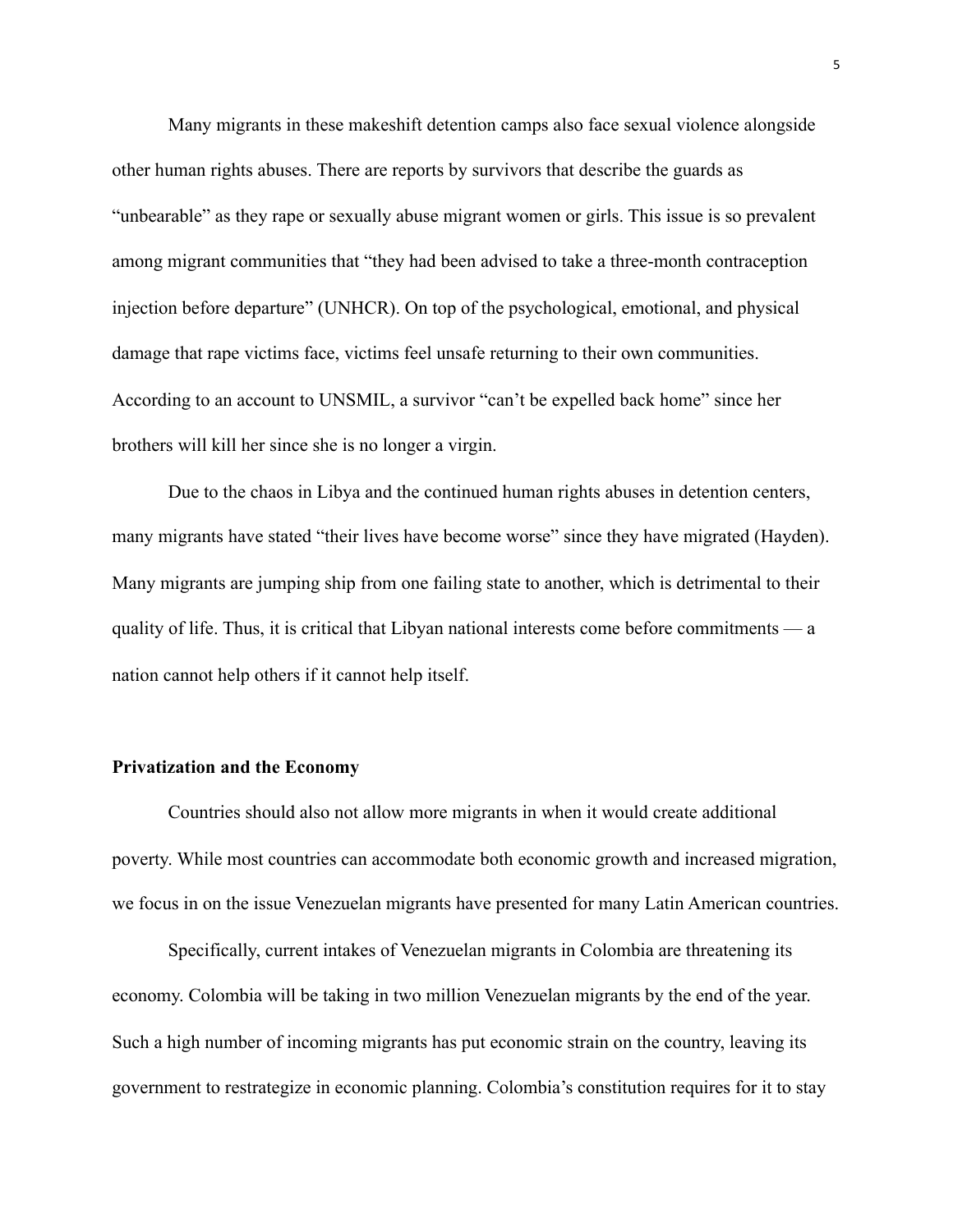Many migrants in these makeshift detention camps also face sexual violence alongside other human rights abuses. There are reports by survivors that describe the guards as "unbearable" as they rape or sexually abuse migrant women or girls. This issue is so prevalent among migrant communities that "they had been advised to take a three-month contraception injection before departure" (UNHCR). On top of the psychological, emotional, and physical damage that rape victims face, victims feel unsafe returning to their own communities. According to an account to UNSMIL, a survivor "can't be expelled back home" since her brothers will kill her since she is no longer a virgin.

Due to the chaos in Libya and the continued human rights abuses in detention centers, many migrants have stated "their lives have become worse" since they have migrated (Hayden). Many migrants are jumping ship from one failing state to another, which is detrimental to their quality of life. Thus, it is critical that Libyan national interests come before commitments — a nation cannot help others if it cannot help itself.

## **Privatization and the Economy**

Countries should also not allow more migrants in when it would create additional poverty. While most countries can accommodate both economic growth and increased migration, we focus in on the issue Venezuelan migrants have presented for many Latin American countries.

Specifically, current intakes of Venezuelan migrants in Colombia are threatening its economy. Colombia will be taking in two million Venezuelan migrants by the end of the year. Such a high number of incoming migrants has put economic strain on the country, leaving its government to restrategize in economic planning. Colombia's constitution requires for it to stay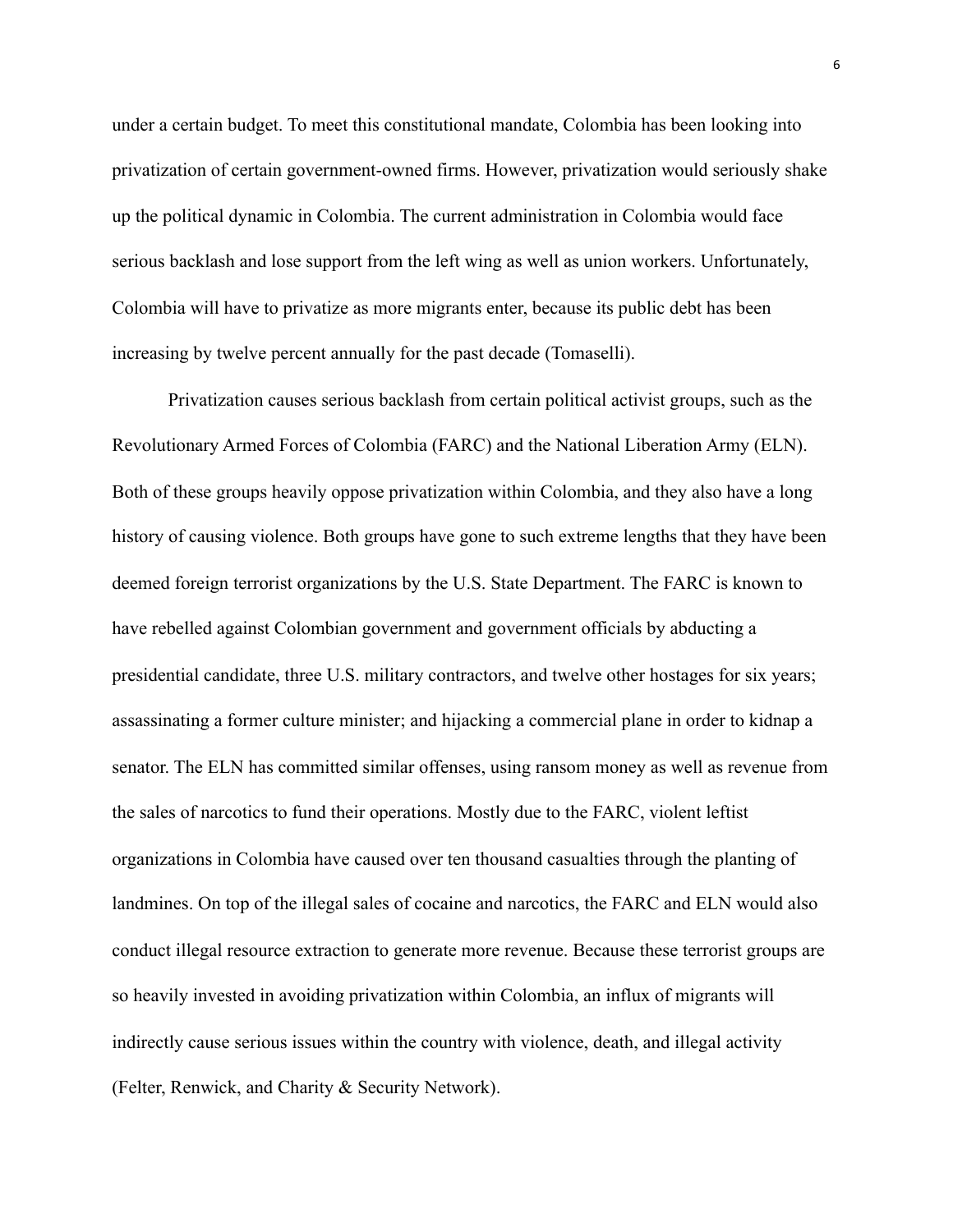under a certain budget. To meet this constitutional mandate, Colombia has been looking into privatization of certain government-owned firms. However, privatization would seriously shake up the political dynamic in Colombia. The current administration in Colombia would face serious backlash and lose support from the left wing as well as union workers. Unfortunately, Colombia will have to privatize as more migrants enter, because its public debt has been increasing by twelve percent annually for the past decade (Tomaselli).

Privatization causes serious backlash from certain political activist groups, such as the Revolutionary Armed Forces of Colombia (FARC) and the National Liberation Army (ELN). Both of these groups heavily oppose privatization within Colombia, and they also have a long history of causing violence. Both groups have gone to such extreme lengths that they have been deemed foreign terrorist organizations by the U.S. State Department. The FARC is known to have rebelled against Colombian government and government officials by abducting a presidential candidate, three U.S. military contractors, and twelve other hostages for six years; assassinating a former culture minister; and hijacking a commercial plane in order to kidnap a senator. The ELN has committed similar offenses, using ransom money as well as revenue from the sales of narcotics to fund their operations. Mostly due to the FARC, violent leftist organizations in Colombia have caused over ten thousand casualties through the planting of landmines. On top of the illegal sales of cocaine and narcotics, the FARC and ELN would also conduct illegal resource extraction to generate more revenue. Because these terrorist groups are so heavily invested in avoiding privatization within Colombia, an influx of migrants will indirectly cause serious issues within the country with violence, death, and illegal activity (Felter, Renwick, and Charity & Security Network).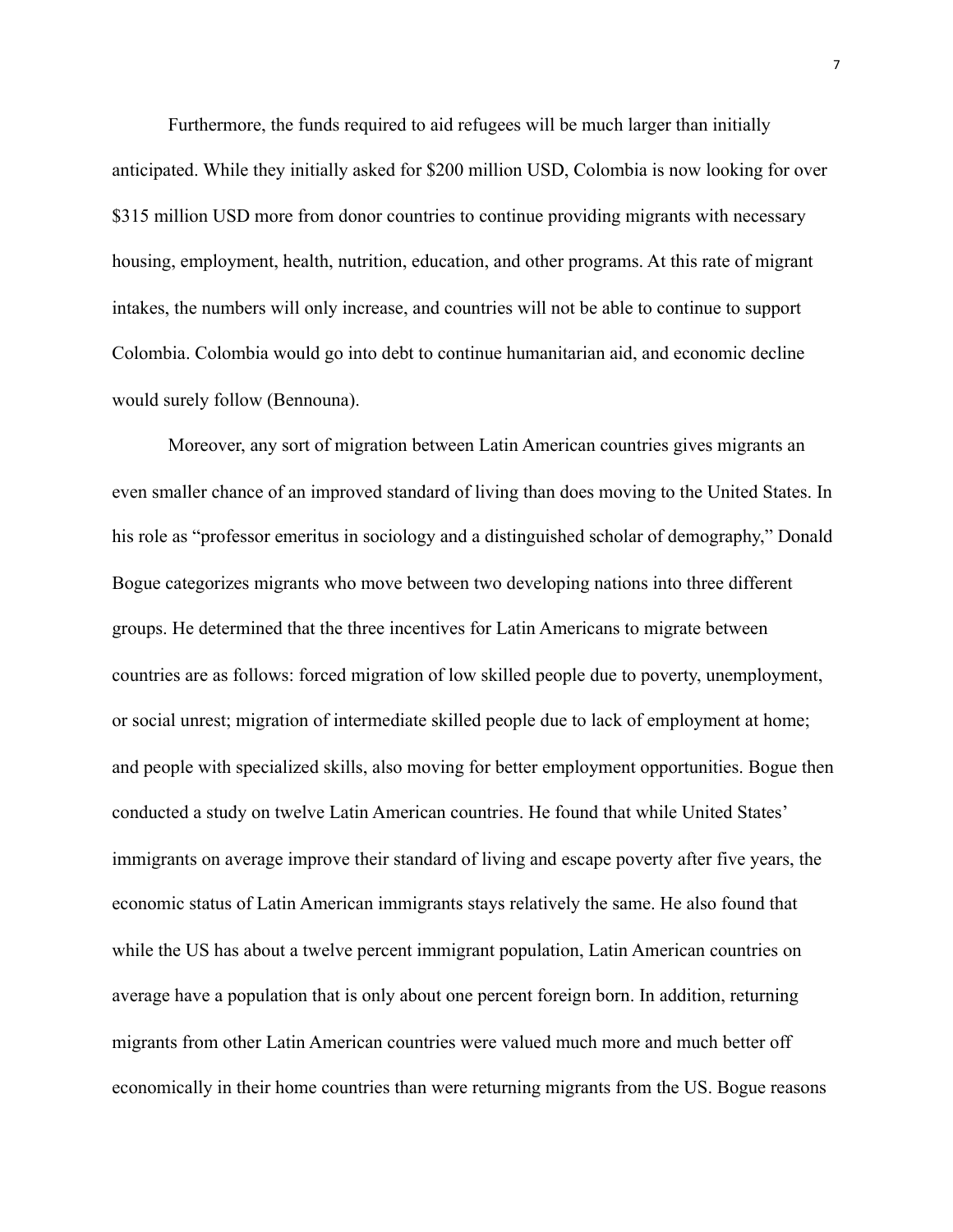Furthermore, the funds required to aid refugees will be much larger than initially anticipated. While they initially asked for \$200 million USD, Colombia is now looking for over \$315 million USD more from donor countries to continue providing migrants with necessary housing, employment, health, nutrition, education, and other programs. At this rate of migrant intakes, the numbers will only increase, and countries will not be able to continue to support Colombia. Colombia would go into debt to continue humanitarian aid, and economic decline would surely follow (Bennouna).

Moreover, any sort of migration between Latin American countries gives migrants an even smaller chance of an improved standard of living than does moving to the United States. In his role as "professor emeritus in sociology and a distinguished scholar of demography," Donald Bogue categorizes migrants who move between two developing nations into three different groups. He determined that the three incentives for Latin Americans to migrate between countries are as follows: forced migration of low skilled people due to poverty, unemployment, or social unrest; migration of intermediate skilled people due to lack of employment at home; and people with specialized skills, also moving for better employment opportunities. Bogue then conducted a study on twelve Latin American countries. He found that while United States' immigrants on average improve their standard of living and escape poverty after five years, the economic status of Latin American immigrants stays relatively the same. He also found that while the US has about a twelve percent immigrant population, Latin American countries on average have a population that is only about one percent foreign born. In addition, returning migrants from other Latin American countries were valued much more and much better off economically in their home countries than were returning migrants from the US. Bogue reasons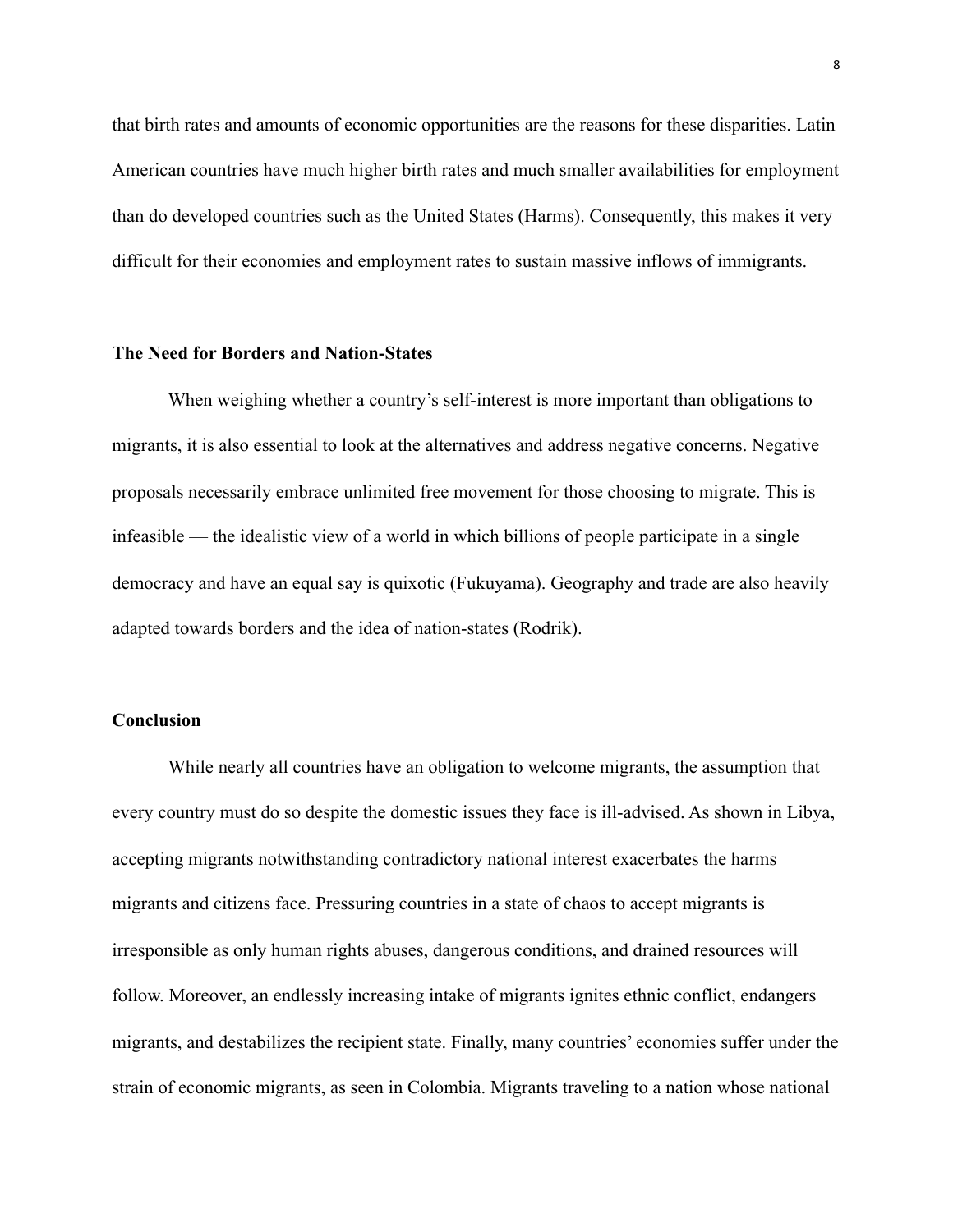that birth rates and amounts of economic opportunities are the reasons for these disparities. Latin American countries have much higher birth rates and much smaller availabilities for employment than do developed countries such as the United States (Harms). Consequently, this makes it very difficult for their economies and employment rates to sustain massive inflows of immigrants.

### **The Need for Borders and Nation-States**

When weighing whether a country's self-interest is more important than obligations to migrants, it is also essential to look at the alternatives and address negative concerns. Negative proposals necessarily embrace unlimited free movement for those choosing to migrate. This is infeasible — the idealistic view of a world in which billions of people participate in a single democracy and have an equal say is quixotic (Fukuyama). Geography and trade are also heavily adapted towards borders and the idea of nation-states (Rodrik).

# **Conclusion**

While nearly all countries have an obligation to welcome migrants, the assumption that every country must do so despite the domestic issues they face is ill-advised. As shown in Libya, accepting migrants notwithstanding contradictory national interest exacerbates the harms migrants and citizens face. Pressuring countries in a state of chaos to accept migrants is irresponsible as only human rights abuses, dangerous conditions, and drained resources will follow. Moreover, an endlessly increasing intake of migrants ignites ethnic conflict, endangers migrants, and destabilizes the recipient state. Finally, many countries' economies suffer under the strain of economic migrants, as seen in Colombia. Migrants traveling to a nation whose national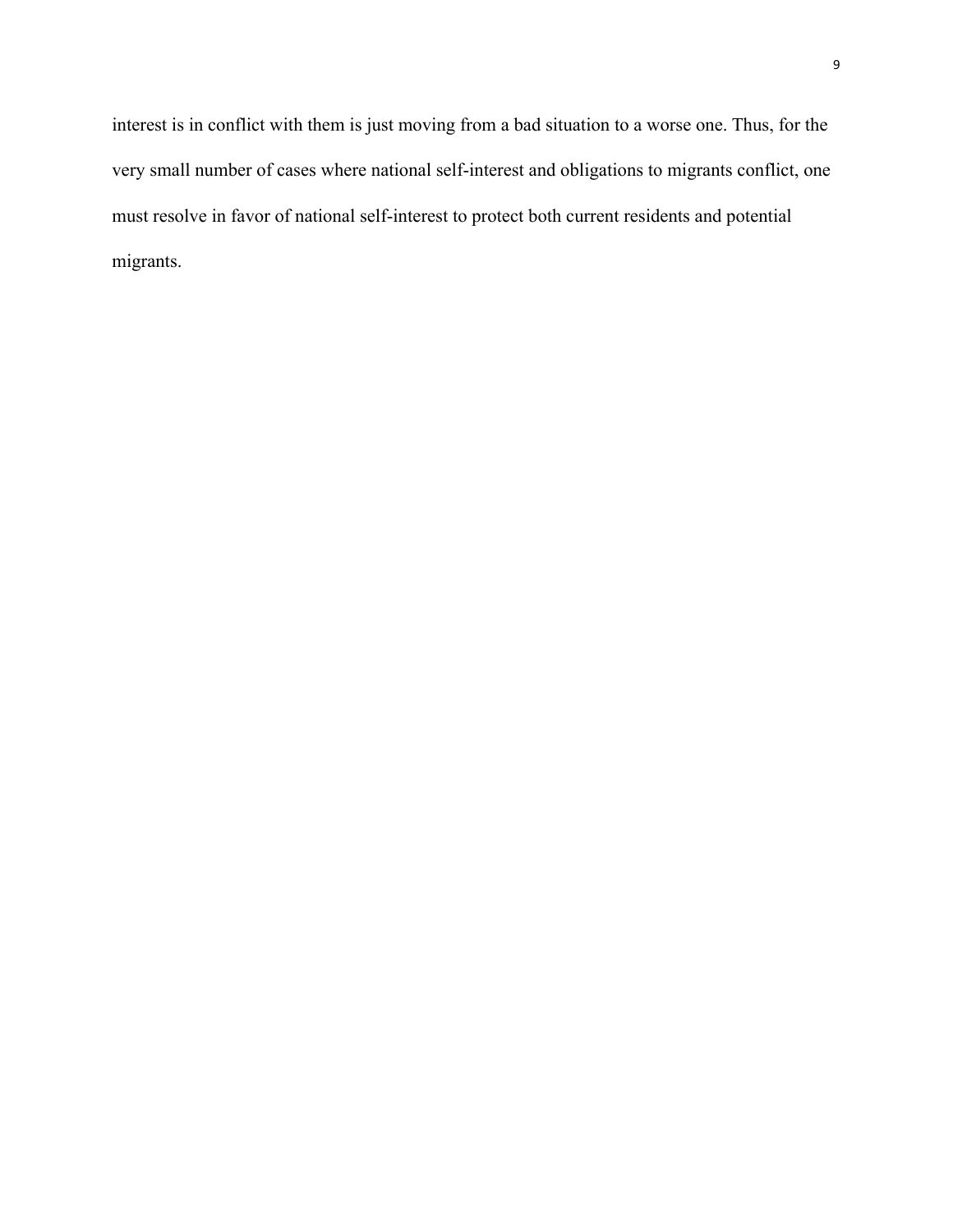interest is in conflict with them is just moving from a bad situation to a worse one. Thus, for the very small number of cases where national self-interest and obligations to migrants conflict, one must resolve in favor of national self-interest to protect both current residents and potential migrants.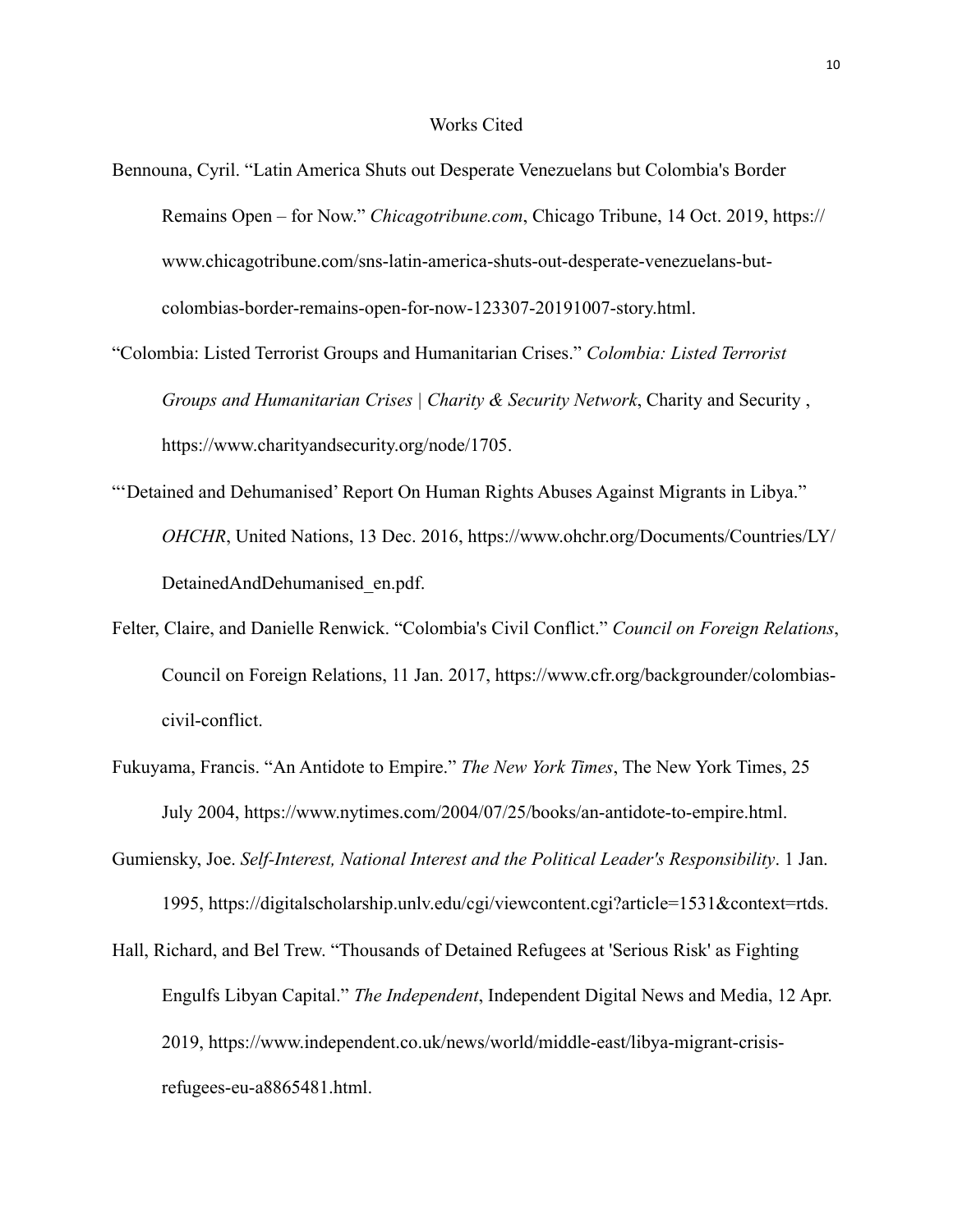#### Works Cited

- Bennouna, Cyril. "Latin America Shuts out Desperate Venezuelans but Colombia's Border Remains Open – for Now." *Chicagotribune.com*, Chicago Tribune, 14 Oct. 2019, https:// www.chicagotribune.com/sns-latin-america-shuts-out-desperate-venezuelans-butcolombias-border-remains-open-for-now-123307-20191007-story.html.
- "Colombia: Listed Terrorist Groups and Humanitarian Crises." *Colombia: Listed Terrorist Groups and Humanitarian Crises | Charity & Security Network*, Charity and Security , <https://www.charityandsecurity.org/node/1705>.
- "'Detained and Dehumanised' Report On Human Rights Abuses Against Migrants in Libya." *OHCHR*, United Nations, 13 Dec. 2016, https://www.ohchr.org/Documents/Countries/LY/ DetainedAndDehumanised\_en.pdf.
- Felter, Claire, and Danielle Renwick. "Colombia's Civil Conflict." *Council on Foreign Relations*, Council on Foreign Relations, 11 Jan. 2017, https://www.cfr.org/backgrounder/colombiascivil-conflict.
- Fukuyama, Francis. "An Antidote to Empire." *The New York Times*, The New York Times, 25 July 2004, https://www.nytimes.com/2004/07/25/books/an-antidote-to-empire.html.
- Gumiensky, Joe. *Self-Interest, National Interest and the Political Leader's Responsibility*. 1 Jan. 1995, https://digitalscholarship.unlv.edu/cgi/viewcontent.cgi?article=1531&context=rtds.
- Hall, Richard, and Bel Trew. "Thousands of Detained Refugees at 'Serious Risk' as Fighting Engulfs Libyan Capital." *The Independent*, Independent Digital News and Media, 12 Apr. 2019, https://www.independent.co.uk/news/world/middle-east/libya-migrant-crisisrefugees-eu-a8865481.html.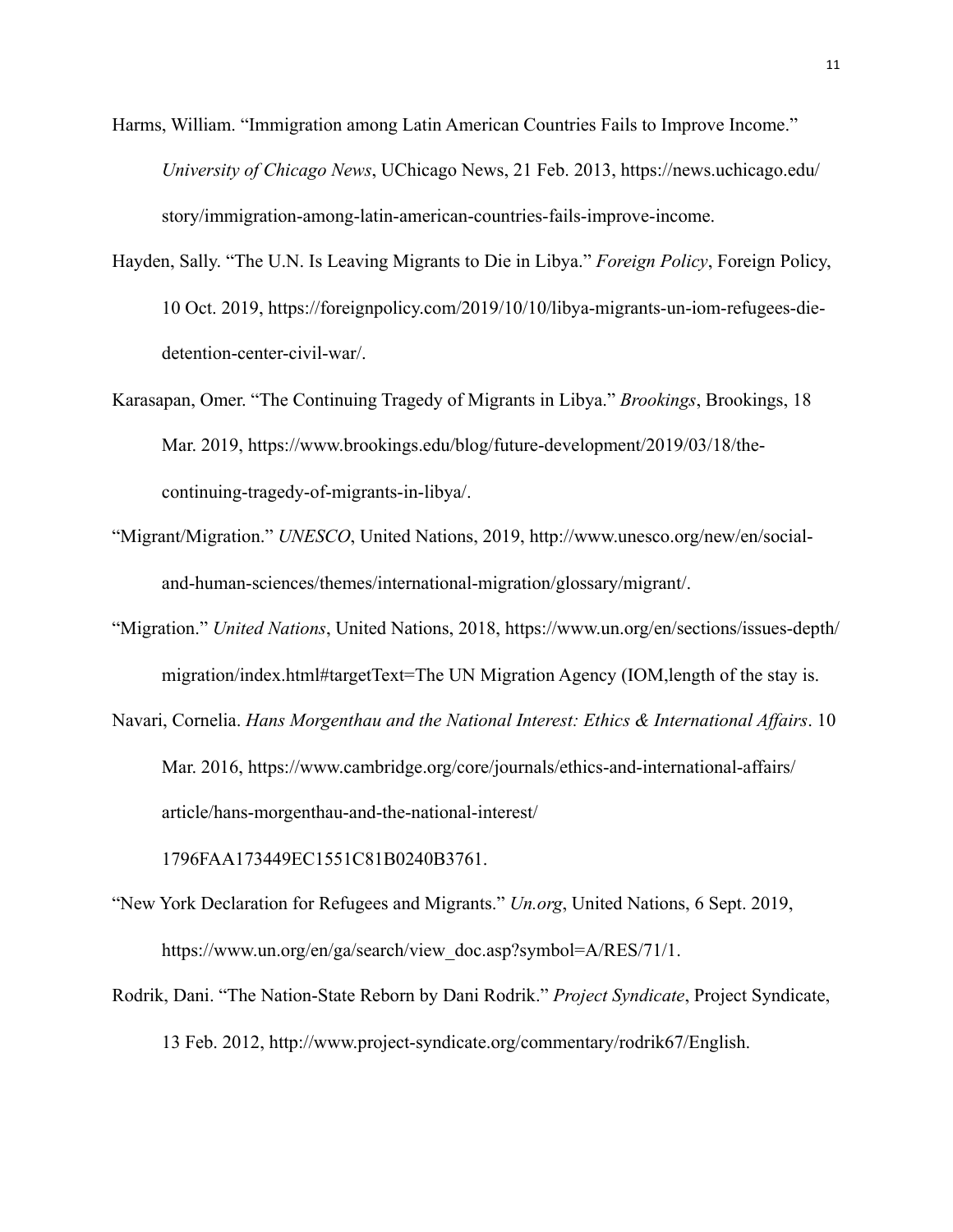Harms, William. "Immigration among Latin American Countries Fails to Improve Income." *University of Chicago News*, UChicago News, 21 Feb. 2013, https://news.uchicago.edu/ story/immigration-among-latin-american-countries-fails-improve-income.

- Hayden, Sally. "The U.N. Is Leaving Migrants to Die in Libya." *Foreign Policy*, Foreign Policy, 10 Oct. 2019, https://foreignpolicy.com/2019/10/10/libya-migrants-un-iom-refugees-diedetention-center-civil-war/.
- Karasapan, Omer. "The Continuing Tragedy of Migrants in Libya." *Brookings*, Brookings, 18 Mar. 2019, https://www.brookings.edu/blog/future-development/2019/03/18/thecontinuing-tragedy-of-migrants-in-libya/.
- "Migrant/Migration." *UNESCO*, United Nations, 2019, http://www.unesco.org/new/en/socialand-human-sciences/themes/international-migration/glossary/migrant/.
- "Migration." *United Nations*, United Nations, 2018, https://www.un.org/en/sections/issues-depth/ migration/index.html#targetText=The UN Migration Agency (IOM,length of the stay is.
- Navari, Cornelia. *Hans Morgenthau and the National Interest: Ethics & International Affairs*. 10 Mar. 2016, https://www.cambridge.org/core/journals/ethics-and-international-affairs/ article/hans-morgenthau-and-the-national-interest/

1796FAA173449EC1551C81B0240B3761.

- "New York Declaration for Refugees and Migrants." *Un.org*, United Nations, 6 Sept. 2019, https://www.un.org/en/ga/search/view\_doc.asp?symbol=A/RES/71/1.
- Rodrik, Dani. "The Nation-State Reborn by Dani Rodrik." *Project Syndicate*, Project Syndicate, 13 Feb. 2012, http://www.project-syndicate.org/commentary/rodrik67/English.